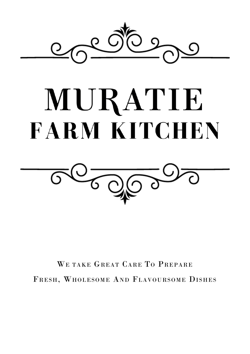

# MURATIE **FARM KITCHEN**



WE TAKE GREAT CARE TO PREPARE FRESH, WHOLESOME AND FLAVOURSOME DISHES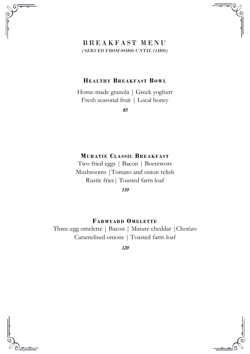## B R E A K F A S T M E N U *(SERVED FROM 09H00 UNTIL 11H00)*

#### **HEALTHY BREAK FAST BOWL**

Home-made granola | Greek yoghurt Fresh seasonal fruit | Local honey

**85**

#### **MURATIE CLASSIC BREA K FAST**

Two fried eggs | Bacon | Boerewors Mushrooms |Tomato and onion relish Rustic fries| Toasted farm loaf

**110**

#### **FARM YARD OM ELETTE**

Three-egg omelette | Bacon | Mature cheddar |Chorizo Caramelised onions | Toasted farm loaf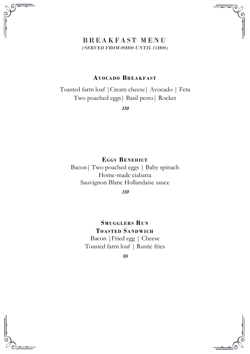### B R E A K F A S T M E N U *(SERVED FROM 09H00 UNTIL 11H00)*

#### **AVO CADO BREAK FAST**

Toasted farm loaf |Cream cheese| Avocado | Feta Two poached eggs| Basil pesto| Rocket

**110**

 $E$ **GGS BENEDICT** Bacon| Two poached eggs | Baby spinach Home-made ciabatta Sauvignon Blanc Hollandaise sauce

**110**

**SMUGGLERS RUN TOASTED SA NDWICH**

Bacon |Fried egg | Cheese Toasted farm loaf | Rustic fries

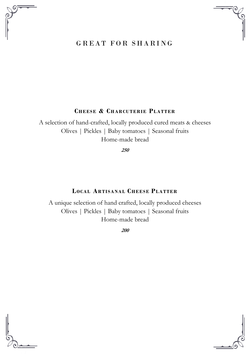# GREAT FOR SHARING

#### **CHEESE & CHARCUTER IE PLATTER**

A selection of hand-crafted, locally produced cured meats & cheeses Olives | Pickles | Baby tomatoes | Seasonal fruits Home-made bread

**250**

#### **LOCAL ARTISANAL CHEE SE PLATTER**

A unique selection of hand crafted, locally produced cheeses Olives | Pickles | Baby tomatoes | Seasonal fruits Home-made bread



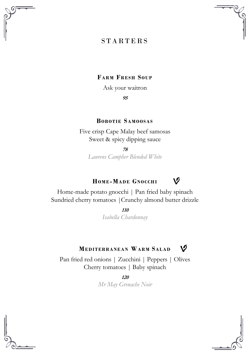# **STARTERS**

#### **FARM FRESH SOUP**

Ask your waitron

**95**

#### **BOB OTIE SAM OOSAS**

Five crisp Cape Malay beef samosas Sweet & spicy dipping sauce

**78**

*Laurens Campher Blended White*

#### ۱Ø **HOM E-MADE GNO CCH I**

Home-made potato gnocchi | Pan fried baby spinach Sundried cherry tomatoes |Crunchy almond butter drizzle

> **110** *Isabella Chardonnay*

#### **MEDITERRANEA N WARM SALAD** V

Pan fried red onions | Zucchini | Peppers | Olives Cherry tomatoes | Baby spinach

**120**

*Mr May Grenache Noir*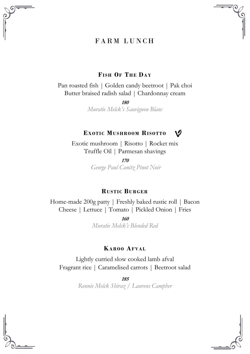# FARM LUNCH

#### **FISH OF THE DA Y**

Pan roasted fish | Golden candy beetroot | Pak choi Butter braised radish salad | Chardonnay cream

> **180** *Muratie Melck's Sauvignon Blanc*

#### **EXOTIC MUSHROOM RISOTTO**

١Ø

Exotic mushroom | Risotto | Rocket mix Truffle Oil | Parmesan shavings

> **170** *George Paul Canitz Pinot Noir*

#### **RUSTIC BURG ER**

Home-made 200g patty | Freshly baked rustic roll | Bacon Cheese | Lettuce | Tomato | Pickled Onion | Fries

> **160** *Muratie Melck'c Blended Red*

#### **KAROO AFVAL**

Lightly curried slow cooked lamb afval Fragrant rice | Caramelised carrots | Beetroot salad

> **185** *Ronnie Melck Shiraz / Laurens Campher*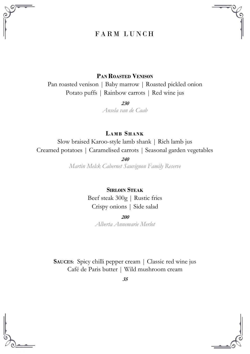# FARM LUNCH

#### **PAN ROASTED VENISON**

Pan roasted venison | Baby marrow | Roasted pickled onion Potato puffs | Rainbow carrots | Red wine jus

> **230** *Ansela van de Caab*

**LAM B SHANK**

Slow braised Karoo-style lamb shank | Rich lamb jus Creamed potatoes | Caramelised carrots | Seasonal garden vegetables

**240**

*Martin Melck Cabernet Sauvignon Family Reserve*

**SIRLOIN STEAK**

Beef steak 300g | Rustic fries Crispy onions | Side salad

**200**

*Alberta Annemarie Merlot*

**SAUCES:** Spicy chilli pepper cream | Classic red wine jus Café de Paris butter | Wild mushroom cream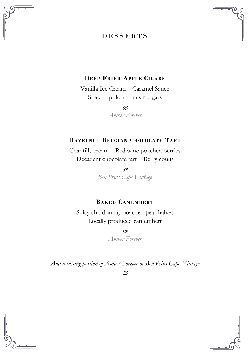# D E S S E R T S



#### **DEEP FRIED APPL E CIG ARS**

Vanilla Ice Cream | Caramel Sauce Spiced apple and raisin cigars

> **95** *Amber Forever*

# **HAZELNUT BELGIA N CHOCOLATE TART**

Chantilly cream | Red wine poached berries Decadent chocolate tart | Berry coulis

> **85** *Ben Prins Cape Vintage*

# **BAK ED CAM EM BERT**

Spicy chardonnay poached pear halves Locally produced camembert

> **95** *Amber Forever*

*Add a tasting portion of Amber Forever or Ben Prins Cape Vintage* 



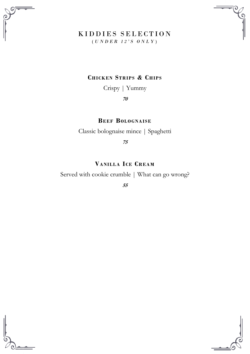

## KIDDIES SELECTION ( *U N D E R 1 2 ' S O N L Y* )

### **CHICK EN STR IPS & CHIPS**

Crispy | Yummy

**70**

**BEEF BOLO GNAIS E**

Classic bolognaise mince | Spaghetti

**75**

# **VANILLA ICE CREAM**

Served with cookie crumble | What can go wrong?



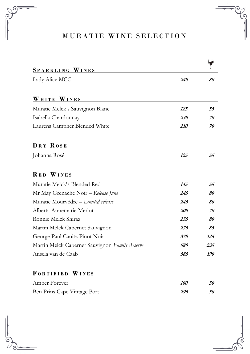# MURATIE WINE SELECTION

| SPARKLING WINES                                |            |     |
|------------------------------------------------|------------|-----|
| Lady Alice MCC                                 | 240        | 80  |
|                                                |            |     |
| WHITE WINES                                    |            |     |
| Muratie Melck's Sauvignon Blanc                | 125        | 55  |
| Isabella Chardonnay                            | 230        | 70  |
| Laurens Campher Blended White                  | 210        | 70  |
|                                                |            |     |
| DRY ROSE                                       |            |     |
| Johanna Rosé                                   | 125        | 55  |
|                                                |            |     |
| <b>RED WINES</b>                               |            |     |
| Muratie Melck's Blended Red                    | 145        | .55 |
| Mr May Grenache Noir - Release June            | 245        | 80  |
| Muratie Mourvèdre – Limited release            | 245        | 80  |
| Alberta Annemarie Merlot                       | <i>200</i> | 70  |
| Ronnie Melck Shiraz                            | 235        | 80  |
| Martin Melck Cabernet Sauvignon                | 275        | 85  |
| George Paul Canitz Pinot Noir                  | 370        | 125 |
| Martin Melck Cabernet Sauvignon Family Reserve | 680        | 235 |
| Ansela van de Caab                             | 585        | 190 |
|                                                |            |     |
| FORTIFIED WINES                                |            |     |
| Amber Forever                                  | 160        | 50  |
| Ben Prins Cape Vintage Port                    | 295        | 50  |
|                                                |            |     |

൭

 $_{\odot}$ ໌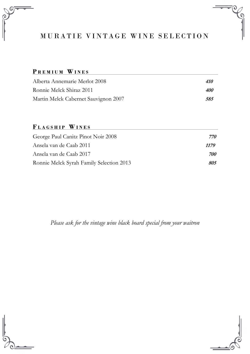# MURATIE VINTAGE WINE SELECTION

### **P R E M I U M W I N E S**

| Alberta Annemarie Merlot 2008        | <i><b>410</b></i> |
|--------------------------------------|-------------------|
| Ronnie Melck Shiraz 2011             | <i>400</i>        |
| Martin Melck Cabernet Sauvignon 2007 | 585               |

# $$

| George Paul Canitz Pinot Noir 2008       | 770        |
|------------------------------------------|------------|
| Ansela van de Caab 2011                  | 1179       |
| Ansela van de Caab 2017                  | <i>700</i> |
| Ronnie Melck Syrah Family Selection 2013 | 805        |

*Please ask for the vintage wine black board special from your waitron*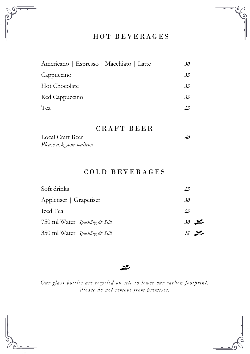

# HOT BEVERAGES

٢c

| Americano   Espresso   Macchiato   Latte | 30  |
|------------------------------------------|-----|
| Cappuccino                               | .35 |
| <b>Hot Chocolate</b>                     | 35  |
| Red Cappuccino                           | 35  |
| Tea                                      | 25  |

### CRAFT BEER

| Local Craft Beer        | 50 |
|-------------------------|----|
| Please ask your waitron |    |

# COLD BEVERAGES

| Soft drinks                    | 25          |
|--------------------------------|-------------|
| Appletiser   Grapetiser        | 30          |
| Iced Tea                       | 25          |
| 750 ml Water Sparkling & Still | $30 \times$ |
| 350 ml Water Sparkling & Still | $15$ $\geq$ |

#### محد

*Our glass bottles are recycled on site to lower our carbon footprint. Please do not remove from premises.*